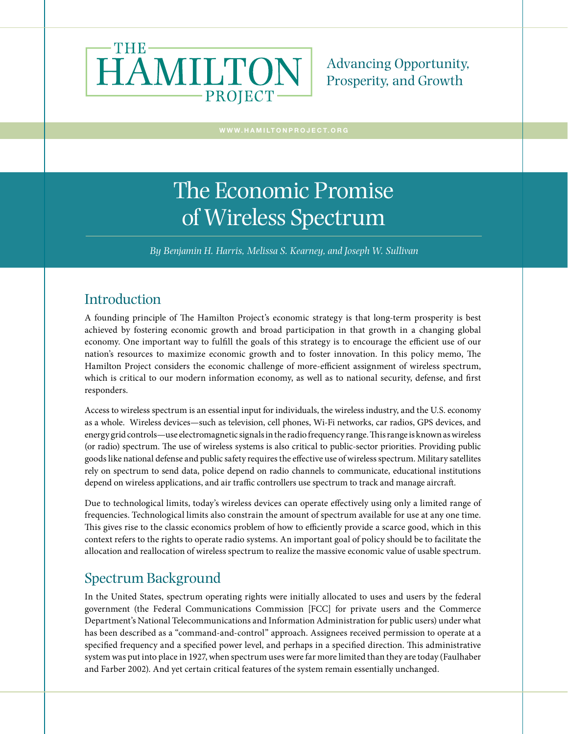

Advancing Opportunity, Prosperity, and Growth

# The Economic Promise of Wireless Spectrum

*By Benjamin H. Harris, Melissa S. Kearney, and Joseph W. Sullivan* 

#### Introduction

A founding principle of The Hamilton Project's economic strategy is that long-term prosperity is best achieved by fostering economic growth and broad participation in that growth in a changing global economy. One important way to fulfill the goals of this strategy is to encourage the efficient use of our nation's resources to maximize economic growth and to foster innovation. In this policy memo, The Hamilton Project considers the economic challenge of more-efficient assignment of wireless spectrum, which is critical to our modern information economy, as well as to national security, defense, and first responders.

Access to wireless spectrum is an essential input for individuals, the wireless industry, and the U.S. economy as a whole. Wireless devices—such as television, cell phones, Wi-Fi networks, car radios, GPS devices, and energy grid controls—use electromagnetic signals in the radio frequency range. This range is known as wireless (or radio) spectrum. The use of wireless systems is also critical to public-sector priorities. Providing public goods like national defense and public safety requires the effective use of wireless spectrum. Military satellites rely on spectrum to send data, police depend on radio channels to communicate, educational institutions depend on wireless applications, and air traffic controllers use spectrum to track and manage aircraft.

Due to technological limits, today's wireless devices can operate effectively using only a limited range of frequencies. Technological limits also constrain the amount of spectrum available for use at any one time. This gives rise to the classic economics problem of how to efficiently provide a scarce good, which in this context refers to the rights to operate radio systems. An important goal of policy should be to facilitate the allocation and reallocation of wireless spectrum to realize the massive economic value of usable spectrum.

## Spectrum Background

In the United States, spectrum operating rights were initially allocated to uses and users by the federal government (the Federal Communications Commission [FCC] for private users and the Commerce Department's National Telecommunications and Information Administration for public users) under what has been described as a "command-and-control" approach. Assignees received permission to operate at a specified frequency and a specified power level, and perhaps in a specified direction. This administrative system was put into place in 1927, when spectrum uses were far more limited than they are today (Faulhaber and Farber 2002). And yet certain critical features of the system remain essentially unchanged.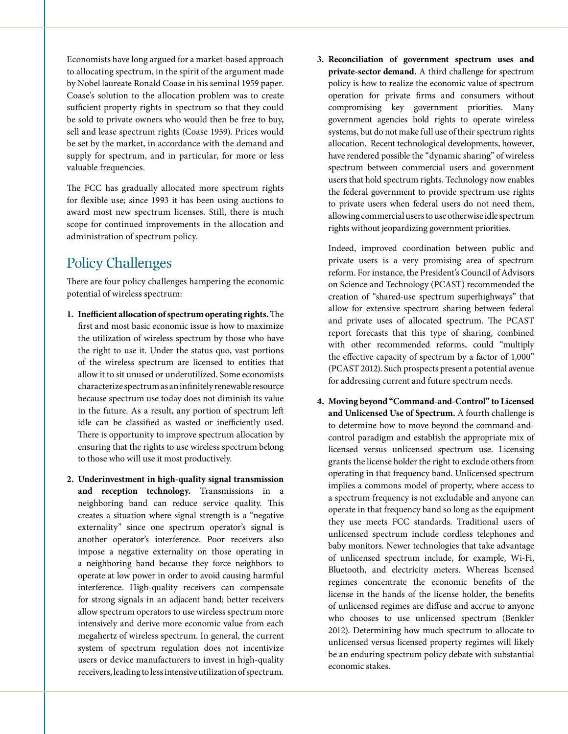Economists have long argued for a market-based approach to allocating spectrum, in the spirit of the argument made by Nobel laureate Ronald Coase in his seminal 1959 paper. Coase's solution to the allocation problem was to create sufficient property rights in spectrum so that they could be sold to private owners who would then be free to buy, sell and lease spectrum rights (Coase 1959). Prices would be set by the market, in accordance with the demand and supply for spectrum, and in particular, for more or less valuable frequencies.

The FCC has gradually allocated more spectrum rights for flexible use; since 1993 it has been using auctions to award most new spectrum licenses. Still, there is much scope for continued improvements in the allocation and administration of spectrum policy.

### Policy Challenges

There are four policy challenges hampering the economic potential of wireless spectrum:

- **1. Inefficient allocation of spectrum operating rights.** The first and most basic economic issue is how to maximize the utilization of wireless spectrum by those who have the right to use it. Under the status quo, vast portions of the wireless spectrum are licensed to entities that allow it to sit unused or underutilized. Some economists characterize spectrum as an infinitely renewable resource because spectrum use today does not diminish its value in the future. As a result, any portion of spectrum left idle can be classified as wasted or inefficiently used. There is opportunity to improve spectrum allocation by ensuring that the rights to use wireless spectrum belong to those who will use it most productively.
- **2. Underinvestment in high-quality signal transmission and reception technology.** Transmissions in a neighboring band can reduce service quality. This creates a situation where signal strength is a "negative externality" since one spectrum operator's signal is another operator's interference. Poor receivers also impose a negative externality on those operating in a neighboring band because they force neighbors to operate at low power in order to avoid causing harmful interference. High-quality receivers can compensate for strong signals in an adjacent band; better receivers allow spectrum operators to use wireless spectrum more intensively and derive more economic value from each megahertz of wireless spectrum. In general, the current system of spectrum regulation does not incentivize users or device manufacturers to invest in high-quality receivers, leading to less intensive utilization of spectrum.

**3. Reconciliation of government spectrum uses and private-sector demand.** A third challenge for spectrum policy is how to realize the economic value of spectrum operation for private firms and consumers without compromising key government priorities. Many government agencies hold rights to operate wireless systems, but do not make full use of their spectrum rights allocation. Recent technological developments, however, have rendered possible the "dynamic sharing" of wireless spectrum between commercial users and government users that hold spectrum rights. Technology now enables the federal government to provide spectrum use rights to private users when federal users do not need them, allowing commercial users to use otherwise idle spectrum rights without jeopardizing government priorities.

Indeed, improved coordination between public and private users is a very promising area of spectrum reform. For instance, the President's Council of Advisors on Science and Technology (PCAST) recommended the creation of "shared-use spectrum superhighways" that allow for extensive spectrum sharing between federal and private uses of allocated spectrum. The PCAST report forecasts that this type of sharing, combined with other recommended reforms, could "multiply the effective capacity of spectrum by a factor of 1,000" (PCAST 2012). Such prospects present a potential avenue for addressing current and future spectrum needs.

**4. Moving beyond "Command-and-Control" to Licensed and Unlicensed Use of Spectrum.** A fourth challenge is to determine how to move beyond the command-andcontrol paradigm and establish the appropriate mix of licensed versus unlicensed spectrum use. Licensing grants the license holder the right to exclude others from operating in that frequency band. Unlicensed spectrum implies a commons model of property, where access to a spectrum frequency is not excludable and anyone can operate in that frequency band so long as the equipment they use meets FCC standards. Traditional users of unlicensed spectrum include cordless telephones and baby monitors. Newer technologies that take advantage of unlicensed spectrum include, for example, Wi-Fi, Bluetooth, and electricity meters. Whereas licensed regimes concentrate the economic benefits of the license in the hands of the license holder, the benefits of unlicensed regimes are diffuse and accrue to anyone who chooses to use unlicensed spectrum (Benkler 2012). Determining how much spectrum to allocate to unlicensed versus licensed property regimes will likely be an enduring spectrum policy debate with substantial economic stakes.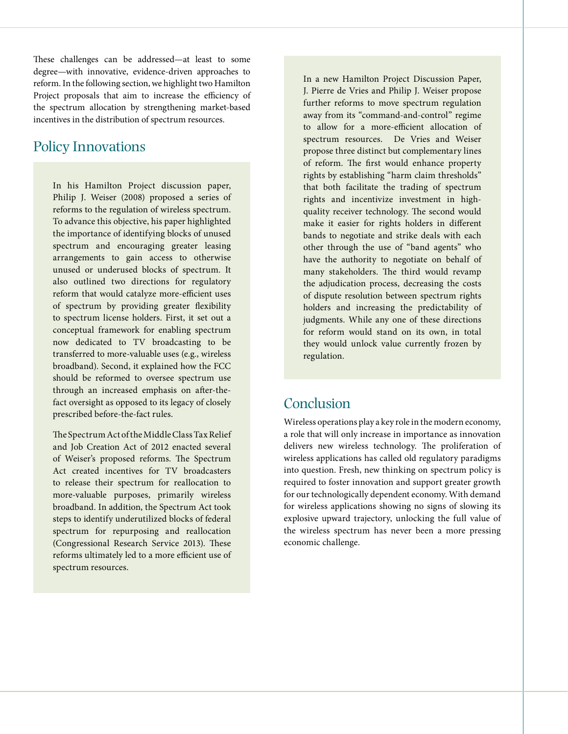These challenges can be addressed—at least to some degree—with innovative, evidence-driven approaches to reform. In the following section, we highlight two Hamilton Project proposals that aim to increase the efficiency of the spectrum allocation by strengthening market-based incentives in the distribution of spectrum resources.

#### Policy Innovations

In his Hamilton Project discussion paper, Philip J. Weiser (2008) proposed a series of reforms to the regulation of wireless spectrum. To advance this objective, his paper highlighted the importance of identifying blocks of unused spectrum and encouraging greater leasing arrangements to gain access to otherwise unused or underused blocks of spectrum. It also outlined two directions for regulatory reform that would catalyze more-efficient uses of spectrum by providing greater flexibility to spectrum license holders. First, it set out a conceptual framework for enabling spectrum now dedicated to TV broadcasting to be transferred to more-valuable uses (e.g., wireless broadband). Second, it explained how the FCC should be reformed to oversee spectrum use through an increased emphasis on after-thefact oversight as opposed to its legacy of closely prescribed before-the-fact rules.

The Spectrum Act of the Middle Class Tax Relief and Job Creation Act of 2012 enacted several of Weiser's proposed reforms. The Spectrum Act created incentives for TV broadcasters to release their spectrum for reallocation to more-valuable purposes, primarily wireless broadband. In addition, the Spectrum Act took steps to identify underutilized blocks of federal spectrum for repurposing and reallocation (Congressional Research Service 2013). These reforms ultimately led to a more efficient use of spectrum resources.

In a new Hamilton Project Discussion Paper, J. Pierre de Vries and Philip J. Weiser propose further reforms to move spectrum regulation away from its "command-and-control" regime to allow for a more-efficient allocation of spectrum resources. De Vries and Weiser propose three distinct but complementary lines of reform. The first would enhance property rights by establishing "harm claim thresholds" that both facilitate the trading of spectrum rights and incentivize investment in highquality receiver technology. The second would make it easier for rights holders in different bands to negotiate and strike deals with each other through the use of "band agents" who have the authority to negotiate on behalf of many stakeholders. The third would revamp the adjudication process, decreasing the costs of dispute resolution between spectrum rights holders and increasing the predictability of judgments. While any one of these directions for reform would stand on its own, in total they would unlock value currently frozen by regulation.

#### Conclusion

Wireless operations play a key role in the modern economy, a role that will only increase in importance as innovation delivers new wireless technology. The proliferation of wireless applications has called old regulatory paradigms into question. Fresh, new thinking on spectrum policy is required to foster innovation and support greater growth for our technologically dependent economy. With demand for wireless applications showing no signs of slowing its explosive upward trajectory, unlocking the full value of the wireless spectrum has never been a more pressing economic challenge.